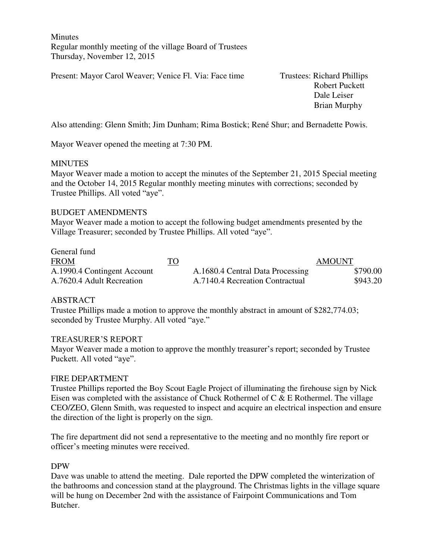**Minutes** Regular monthly meeting of the village Board of Trustees Thursday, November 12, 2015

Present: Mayor Carol Weaver; Venice Fl. Via: Face time Trustees: Richard Phillips

 Robert Puckett Dale Leiser Brian Murphy

Also attending: Glenn Smith; Jim Dunham; Rima Bostick; René Shur; and Bernadette Powis.

Mayor Weaver opened the meeting at 7:30 PM.

#### **MINUTES**

Mayor Weaver made a motion to accept the minutes of the September 21, 2015 Special meeting and the October 14, 2015 Regular monthly meeting minutes with corrections; seconded by Trustee Phillips. All voted "aye".

#### BUDGET AMENDMENTS

Mayor Weaver made a motion to accept the following budget amendments presented by the Village Treasurer; seconded by Trustee Phillips. All voted "aye".

| General fund                |           |                                  |               |
|-----------------------------|-----------|----------------------------------|---------------|
| <b>FROM</b>                 | <u>TO</u> |                                  | <b>AMOUNT</b> |
| A.1990.4 Contingent Account |           | A.1680.4 Central Data Processing | \$790.00      |
| A.7620.4 Adult Recreation   |           | A.7140.4 Recreation Contractual  | \$943.20      |

### ABSTRACT

Trustee Phillips made a motion to approve the monthly abstract in amount of \$282,774.03; seconded by Trustee Murphy. All voted "aye."

#### TREASURER'S REPORT

Mayor Weaver made a motion to approve the monthly treasurer's report; seconded by Trustee Puckett. All voted "aye".

#### FIRE DEPARTMENT

Trustee Phillips reported the Boy Scout Eagle Project of illuminating the firehouse sign by Nick Eisen was completed with the assistance of Chuck Rothermel of C & E Rothermel. The village CEO/ZEO, Glenn Smith, was requested to inspect and acquire an electrical inspection and ensure the direction of the light is properly on the sign.

The fire department did not send a representative to the meeting and no monthly fire report or officer's meeting minutes were received.

#### DPW

Dave was unable to attend the meeting. Dale reported the DPW completed the winterization of the bathrooms and concession stand at the playground. The Christmas lights in the village square will be hung on December 2nd with the assistance of Fairpoint Communications and Tom Butcher.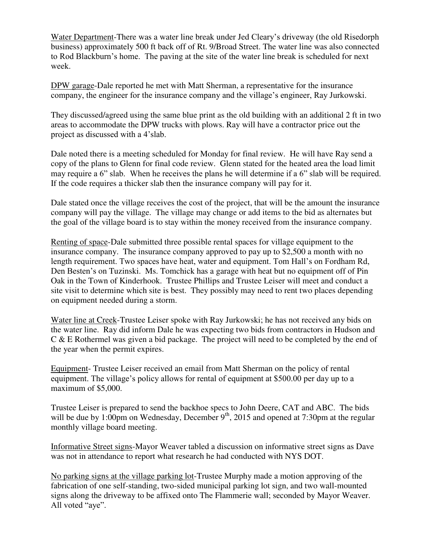Water Department-There was a water line break under Jed Cleary's driveway (the old Risedorph business) approximately 500 ft back off of Rt. 9/Broad Street. The water line was also connected to Rod Blackburn's home. The paving at the site of the water line break is scheduled for next week.

DPW garage-Dale reported he met with Matt Sherman, a representative for the insurance company, the engineer for the insurance company and the village's engineer, Ray Jurkowski.

They discussed/agreed using the same blue print as the old building with an additional 2 ft in two areas to accommodate the DPW trucks with plows. Ray will have a contractor price out the project as discussed with a 4'slab.

Dale noted there is a meeting scheduled for Monday for final review. He will have Ray send a copy of the plans to Glenn for final code review. Glenn stated for the heated area the load limit may require a 6" slab. When he receives the plans he will determine if a 6" slab will be required. If the code requires a thicker slab then the insurance company will pay for it.

Dale stated once the village receives the cost of the project, that will be the amount the insurance company will pay the village. The village may change or add items to the bid as alternates but the goal of the village board is to stay within the money received from the insurance company.

Renting of space-Dale submitted three possible rental spaces for village equipment to the insurance company. The insurance company approved to pay up to \$2,500 a month with no length requirement. Two spaces have heat, water and equipment. Tom Hall's on Fordham Rd, Den Besten's on Tuzinski. Ms. Tomchick has a garage with heat but no equipment off of Pin Oak in the Town of Kinderhook. Trustee Phillips and Trustee Leiser will meet and conduct a site visit to determine which site is best. They possibly may need to rent two places depending on equipment needed during a storm.

Water line at Creek-Trustee Leiser spoke with Ray Jurkowski; he has not received any bids on the water line. Ray did inform Dale he was expecting two bids from contractors in Hudson and C & E Rothermel was given a bid package. The project will need to be completed by the end of the year when the permit expires.

Equipment- Trustee Leiser received an email from Matt Sherman on the policy of rental equipment. The village's policy allows for rental of equipment at \$500.00 per day up to a maximum of \$5,000.

Trustee Leiser is prepared to send the backhoe specs to John Deere, CAT and ABC. The bids will be due by 1:00pm on Wednesday, December  $9<sup>th</sup>$ , 2015 and opened at 7:30pm at the regular monthly village board meeting.

Informative Street signs-Mayor Weaver tabled a discussion on informative street signs as Dave was not in attendance to report what research he had conducted with NYS DOT.

No parking signs at the village parking lot-Trustee Murphy made a motion approving of the fabrication of one self-standing, two-sided municipal parking lot sign, and two wall-mounted signs along the driveway to be affixed onto The Flammerie wall; seconded by Mayor Weaver. All voted "aye".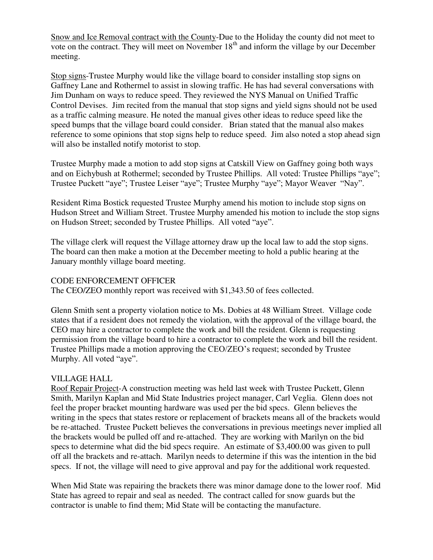Snow and Ice Removal contract with the County-Due to the Holiday the county did not meet to vote on the contract. They will meet on November 18<sup>th</sup> and inform the village by our December meeting.

Stop signs-Trustee Murphy would like the village board to consider installing stop signs on Gaffney Lane and Rothermel to assist in slowing traffic. He has had several conversations with Jim Dunham on ways to reduce speed. They reviewed the NYS Manual on Unified Traffic Control Devises. Jim recited from the manual that stop signs and yield signs should not be used as a traffic calming measure. He noted the manual gives other ideas to reduce speed like the speed bumps that the village board could consider. Brian stated that the manual also makes reference to some opinions that stop signs help to reduce speed. Jim also noted a stop ahead sign will also be installed notify motorist to stop.

Trustee Murphy made a motion to add stop signs at Catskill View on Gaffney going both ways and on Eichybush at Rothermel; seconded by Trustee Phillips. All voted: Trustee Phillips "aye"; Trustee Puckett "aye"; Trustee Leiser "aye"; Trustee Murphy "aye"; Mayor Weaver "Nay".

Resident Rima Bostick requested Trustee Murphy amend his motion to include stop signs on Hudson Street and William Street. Trustee Murphy amended his motion to include the stop signs on Hudson Street; seconded by Trustee Phillips. All voted "aye".

The village clerk will request the Village attorney draw up the local law to add the stop signs. The board can then make a motion at the December meeting to hold a public hearing at the January monthly village board meeting.

### CODE ENFORCEMENT OFFICER

The CEO/ZEO monthly report was received with \$1,343.50 of fees collected.

Glenn Smith sent a property violation notice to Ms. Dobies at 48 William Street. Village code states that if a resident does not remedy the violation, with the approval of the village board, the CEO may hire a contractor to complete the work and bill the resident. Glenn is requesting permission from the village board to hire a contractor to complete the work and bill the resident. Trustee Phillips made a motion approving the CEO/ZEO's request; seconded by Trustee Murphy. All voted "aye".

### VILLAGE HALL

Roof Repair Project-A construction meeting was held last week with Trustee Puckett, Glenn Smith, Marilyn Kaplan and Mid State Industries project manager, Carl Veglia. Glenn does not feel the proper bracket mounting hardware was used per the bid specs. Glenn believes the writing in the specs that states restore or replacement of brackets means all of the brackets would be re-attached. Trustee Puckett believes the conversations in previous meetings never implied all the brackets would be pulled off and re-attached. They are working with Marilyn on the bid specs to determine what did the bid specs require. An estimate of \$3,400.00 was given to pull off all the brackets and re-attach. Marilyn needs to determine if this was the intention in the bid specs. If not, the village will need to give approval and pay for the additional work requested.

When Mid State was repairing the brackets there was minor damage done to the lower roof. Mid State has agreed to repair and seal as needed. The contract called for snow guards but the contractor is unable to find them; Mid State will be contacting the manufacture.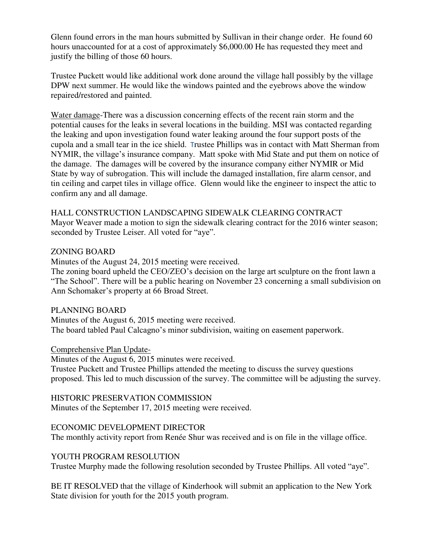Glenn found errors in the man hours submitted by Sullivan in their change order. He found 60 hours unaccounted for at a cost of approximately \$6,000.00 He has requested they meet and justify the billing of those 60 hours.

Trustee Puckett would like additional work done around the village hall possibly by the village DPW next summer. He would like the windows painted and the eyebrows above the window repaired/restored and painted.

Water damage-There was a discussion concerning effects of the recent rain storm and the potential causes for the leaks in several locations in the building. MSI was contacted regarding the leaking and upon investigation found water leaking around the four support posts of the cupola and a small tear in the ice shield. Trustee Phillips was in contact with Matt Sherman from NYMIR, the village's insurance company. Matt spoke with Mid State and put them on notice of the damage. The damages will be covered by the insurance company either NYMIR or Mid State by way of subrogation. This will include the damaged installation, fire alarm censor, and tin ceiling and carpet tiles in village office. Glenn would like the engineer to inspect the attic to confirm any and all damage.

### HALL CONSTRUCTION LANDSCAPING SIDEWALK CLEARING CONTRACT

Mayor Weaver made a motion to sign the sidewalk clearing contract for the 2016 winter season; seconded by Trustee Leiser. All voted for "aye".

### ZONING BOARD

Minutes of the August 24, 2015 meeting were received.

The zoning board upheld the CEO/ZEO's decision on the large art sculpture on the front lawn a "The School". There will be a public hearing on November 23 concerning a small subdivision on Ann Schomaker's property at 66 Broad Street.

## PLANNING BOARD

Minutes of the August 6, 2015 meeting were received. The board tabled Paul Calcagno's minor subdivision, waiting on easement paperwork.

### Comprehensive Plan Update-

Minutes of the August 6, 2015 minutes were received.

Trustee Puckett and Trustee Phillips attended the meeting to discuss the survey questions proposed. This led to much discussion of the survey. The committee will be adjusting the survey.

### HISTORIC PRESERVATION COMMISSION

Minutes of the September 17, 2015 meeting were received.

## ECONOMIC DEVELOPMENT DIRECTOR

The monthly activity report from Renée Shur was received and is on file in the village office.

## YOUTH PROGRAM RESOLUTION

Trustee Murphy made the following resolution seconded by Trustee Phillips. All voted "aye".

BE IT RESOLVED that the village of Kinderhook will submit an application to the New York State division for youth for the 2015 youth program.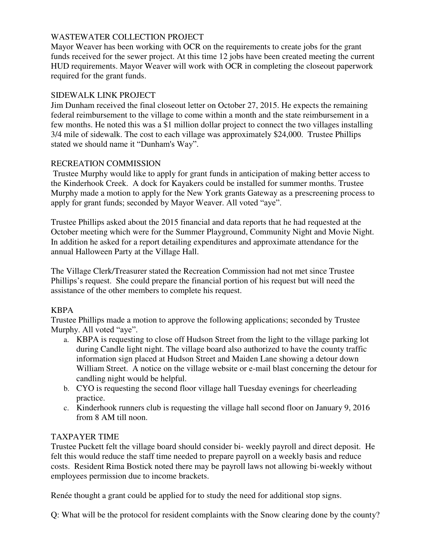# WASTEWATER COLLECTION PROJECT

Mayor Weaver has been working with OCR on the requirements to create jobs for the grant funds received for the sewer project. At this time 12 jobs have been created meeting the current HUD requirements. Mayor Weaver will work with OCR in completing the closeout paperwork required for the grant funds.

## SIDEWALK LINK PROJECT

Jim Dunham received the final closeout letter on October 27, 2015. He expects the remaining federal reimbursement to the village to come within a month and the state reimbursement in a few months. He noted this was a \$1 million dollar project to connect the two villages installing 3/4 mile of sidewalk. The cost to each village was approximately \$24,000. Trustee Phillips stated we should name it "Dunham's Way".

## RECREATION COMMISSION

 Trustee Murphy would like to apply for grant funds in anticipation of making better access to the Kinderhook Creek. A dock for Kayakers could be installed for summer months. Trustee Murphy made a motion to apply for the New York grants Gateway as a prescreening process to apply for grant funds; seconded by Mayor Weaver. All voted "aye".

Trustee Phillips asked about the 2015 financial and data reports that he had requested at the October meeting which were for the Summer Playground, Community Night and Movie Night. In addition he asked for a report detailing expenditures and approximate attendance for the annual Halloween Party at the Village Hall.

The Village Clerk/Treasurer stated the Recreation Commission had not met since Trustee Phillips's request. She could prepare the financial portion of his request but will need the assistance of the other members to complete his request.

# KBPA

Trustee Phillips made a motion to approve the following applications; seconded by Trustee Murphy. All voted "aye".

- a. KBPA is requesting to close off Hudson Street from the light to the village parking lot during Candle light night. The village board also authorized to have the county traffic information sign placed at Hudson Street and Maiden Lane showing a detour down William Street. A notice on the village website or e-mail blast concerning the detour for candling night would be helpful.
- b. CYO is requesting the second floor village hall Tuesday evenings for cheerleading practice.
- c. Kinderhook runners club is requesting the village hall second floor on January 9, 2016 from 8 AM till noon.

# TAXPAYER TIME

Trustee Puckett felt the village board should consider bi- weekly payroll and direct deposit. He felt this would reduce the staff time needed to prepare payroll on a weekly basis and reduce costs. Resident Rima Bostick noted there may be payroll laws not allowing bi-weekly without employees permission due to income brackets.

Renée thought a grant could be applied for to study the need for additional stop signs.

Q: What will be the protocol for resident complaints with the Snow clearing done by the county?